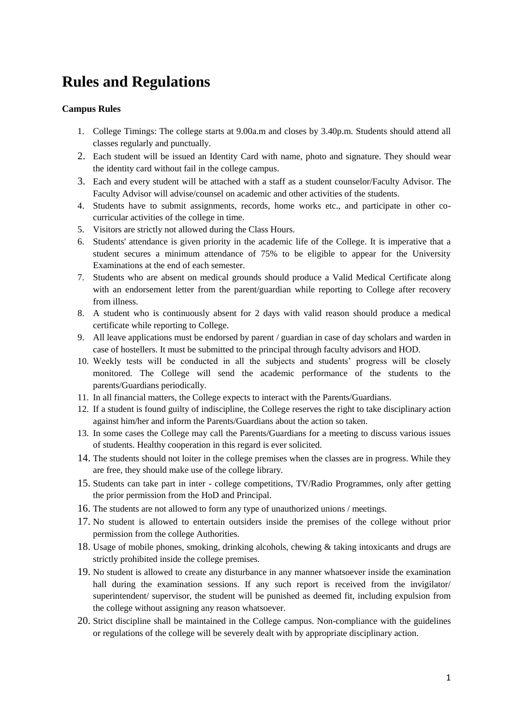## **Rules and Regulations**

## **Campus Rules**

- 1. College Timings: The college starts at 9.00a.m and closes by 3.40p.m. Students should attend all classes regularly and punctually.
- 2. Each student will be issued an Identity Card with name, photo and signature. They should wear the identity card without fail in the college campus.
- 3. Each and every student will be attached with a staff as a student counselor/Faculty Advisor. The Faculty Advisor will advise/counsel on academic and other activities of the students.
- 4. Students have to submit assignments, records, home works etc., and participate in other cocurricular activities of the college in time.
- 5. Visitors are strictly not allowed during the Class Hours.
- 6. Students' attendance is given priority in the academic life of the College. It is imperative that a student secures a minimum attendance of 75% to be eligible to appear for the University Examinations at the end of each semester.
- 7. Students who are absent on medical grounds should produce a Valid Medical Certificate along with an endorsement letter from the parent/guardian while reporting to College after recovery from illness.
- 8. A student who is continuously absent for 2 days with valid reason should produce a medical certificate while reporting to College.
- 9. All leave applications must be endorsed by parent / guardian in case of day scholars and warden in case of hostellers. It must be submitted to the principal through faculty advisors and HOD.
- 10. Weekly tests will be conducted in all the subjects and students' progress will be closely monitored. The College will send the academic performance of the students to the parents/Guardians periodically.
- 11. In all financial matters, the College expects to interact with the Parents/Guardians.
- 12. If a student is found guilty of indiscipline, the College reserves the right to take disciplinary action against him/her and inform the Parents/Guardians about the action so taken.
- 13. In some cases the College may call the Parents/Guardians for a meeting to discuss various issues of students. Healthy cooperation in this regard is ever solicited.
- 14. The students should not loiter in the college premises when the classes are in progress. While they are free, they should make use of the college library.
- 15. Students can take part in inter college competitions, TV/Radio Programmes, only after getting the prior permission from the HoD and Principal.
- 16. The students are not allowed to form any type of unauthorized unions / meetings.
- 17. No student is allowed to entertain outsiders inside the premises of the college without prior permission from the college Authorities.
- 18. Usage of mobile phones, smoking, drinking alcohols, chewing & taking intoxicants and drugs are strictly prohibited inside the college premises.
- 19. No student is allowed to create any disturbance in any manner whatsoever inside the examination hall during the examination sessions. If any such report is received from the invigilator/ superintendent/ supervisor, the student will be punished as deemed fit, including expulsion from the college without assigning any reason whatsoever.
- 20. Strict discipline shall be maintained in the College campus. Non-compliance with the guidelines or regulations of the college will be severely dealt with by appropriate disciplinary action.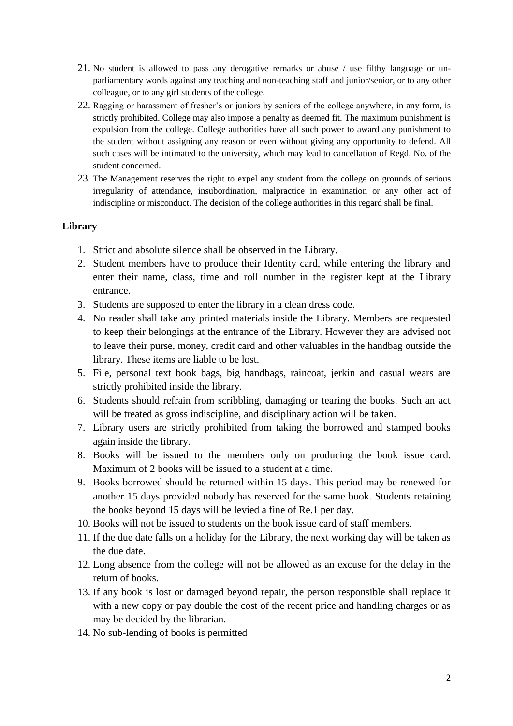- 21. No student is allowed to pass any derogative remarks or abuse / use filthy language or unparliamentary words against any teaching and non-teaching staff and junior/senior, or to any other colleague, or to any girl students of the college.
- 22. Ragging or harassment of fresher's or juniors by seniors of the college anywhere, in any form, is strictly prohibited. College may also impose a penalty as deemed fit. The maximum punishment is expulsion from the college. College authorities have all such power to award any punishment to the student without assigning any reason or even without giving any opportunity to defend. All such cases will be intimated to the university, which may lead to cancellation of Regd. No. of the student concerned.
- 23. The Management reserves the right to expel any student from the college on grounds of serious irregularity of attendance, insubordination, malpractice in examination or any other act of indiscipline or misconduct. The decision of the college authorities in this regard shall be final.

## **Library**

- 1. Strict and absolute silence shall be observed in the Library.
- 2. Student members have to produce their Identity card, while entering the library and enter their name, class, time and roll number in the register kept at the Library entrance.
- 3. Students are supposed to enter the library in a clean dress code.
- 4. No reader shall take any printed materials inside the Library. Members are requested to keep their belongings at the entrance of the Library. However they are advised not to leave their purse, money, credit card and other valuables in the handbag outside the library. These items are liable to be lost.
- 5. File, personal text book bags, big handbags, raincoat, jerkin and casual wears are strictly prohibited inside the library.
- 6. Students should refrain from scribbling, damaging or tearing the books. Such an act will be treated as gross indiscipline, and disciplinary action will be taken.
- 7. Library users are strictly prohibited from taking the borrowed and stamped books again inside the library.
- 8. Books will be issued to the members only on producing the book issue card. Maximum of 2 books will be issued to a student at a time.
- 9. Books borrowed should be returned within 15 days. This period may be renewed for another 15 days provided nobody has reserved for the same book. Students retaining the books beyond 15 days will be levied a fine of Re.1 per day.
- 10. Books will not be issued to students on the book issue card of staff members.
- 11. If the due date falls on a holiday for the Library, the next working day will be taken as the due date.
- 12. Long absence from the college will not be allowed as an excuse for the delay in the return of books.
- 13. If any book is lost or damaged beyond repair, the person responsible shall replace it with a new copy or pay double the cost of the recent price and handling charges or as may be decided by the librarian.
- 14. No sub-lending of books is permitted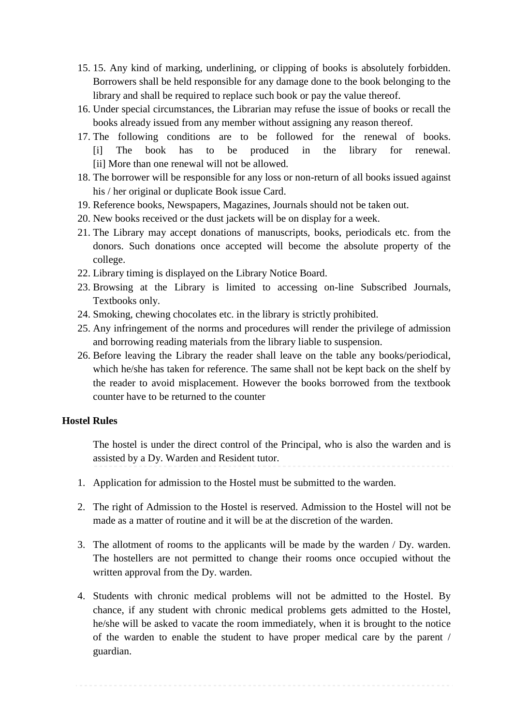- 15. 15. Any kind of marking, underlining, or clipping of books is absolutely forbidden. Borrowers shall be held responsible for any damage done to the book belonging to the library and shall be required to replace such book or pay the value thereof.
- 16. Under special circumstances, the Librarian may refuse the issue of books or recall the books already issued from any member without assigning any reason thereof.
- 17. The following conditions are to be followed for the renewal of books. [i] The book has to be produced in the library for renewal. [ii] More than one renewal will not be allowed.
- 18. The borrower will be responsible for any loss or non-return of all books issued against his / her original or duplicate Book issue Card.
- 19. Reference books, Newspapers, Magazines, Journals should not be taken out.
- 20. New books received or the dust jackets will be on display for a week.
- 21. The Library may accept donations of manuscripts, books, periodicals etc. from the donors. Such donations once accepted will become the absolute property of the college.
- 22. Library timing is displayed on the Library Notice Board.
- 23. Browsing at the Library is limited to accessing on-line Subscribed Journals, Textbooks only.
- 24. Smoking, chewing chocolates etc. in the library is strictly prohibited.
- 25. Any infringement of the norms and procedures will render the privilege of admission and borrowing reading materials from the library liable to suspension.
- 26. Before leaving the Library the reader shall leave on the table any books/periodical, which he/she has taken for reference. The same shall not be kept back on the shelf by the reader to avoid misplacement. However the books borrowed from the textbook counter have to be returned to the counter

## **Hostel Rules**

The hostel is under the direct control of the Principal, who is also the warden and is assisted by a Dy. Warden and Resident tutor.

- 1. Application for admission to the Hostel must be submitted to the warden.
- 2. The right of Admission to the Hostel is reserved. Admission to the Hostel will not be made as a matter of routine and it will be at the discretion of the warden.
- 3. The allotment of rooms to the applicants will be made by the warden / Dy. warden. The hostellers are not permitted to change their rooms once occupied without the written approval from the Dy. warden.
- 4. Students with chronic medical problems will not be admitted to the Hostel. By chance, if any student with chronic medical problems gets admitted to the Hostel, he/she will be asked to vacate the room immediately, when it is brought to the notice of the warden to enable the student to have proper medical care by the parent / guardian.